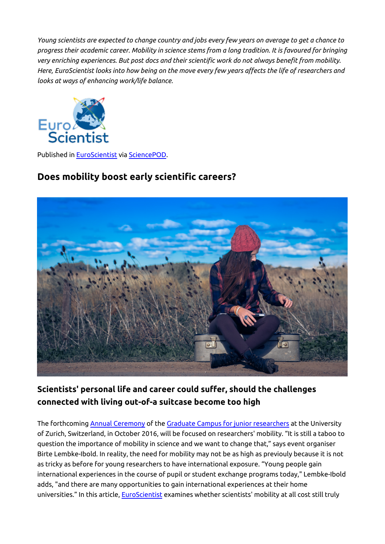*Young scientists are expected to change country and jobs every few years on average to get a chance to progress their academic career. Mobility in science stems from a long tradition. It is favoured for bringing very enriching experiences. But post docs and their scientific work do not always benefit from mobility. Here, EuroScientist looks into how being on the move every few years affects the life of researchers and looks at ways of enhancing work/life balance.*



Published in [EuroScientist](http://www.euroscientist.com/does-mobility-boost-early-scientific-careers) via [SciencePOD](http://www.sciencepod.net).

# **Does mobility boost early scientific careers?**



# **Scientists' personal life and career could suffer, should the challenges connected with living out-of-a suitcase become too high**

The forthcoming [Annual Ceremony](http://www.grc.uzh.ch/en/events/annual-events/Jahresveranstaltung2016.html) of the [Graduate Campus for junior researchers](http://www.grc.uzh.ch/en/about/campus.html) at the University of Zurich, Switzerland, in October 2016, will be focused on researchers' mobility. "It is still a taboo to question the importance of mobility in science and we want to change that," says event organiser Birte Lembke-Ibold. In reality, the need for mobility may not be as high as previouly because it is not as tricky as before for young researchers to have international exposure. "Young people gain international experiences in the course of pupil or student exchange programs today," Lembke-Ibold adds, "and there are many opportunities to gain international experiences at their home universities." In this article, EuroScientist examines whether scientists' mobility at all cost still truly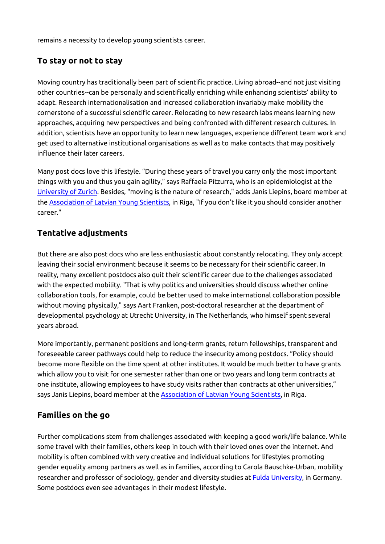remains a necessity to develop young scientists career.

## **To stay or not to stay**

Moving country has traditionally been part of scientific practice. Living abroad--and not just visiting other countries--can be personally and scientifically enriching while enhancing scientists' ability to adapt. Research internationalisation and increased collaboration invariably make mobility the cornerstone of a successful scientific career. Relocating to new research labs means learning new approaches, acquiring new perspectives and being confronted with different research cultures. In addition, scientists have an opportunity to learn new languages, experience different team work and get used to alternative institutional organisations as well as to make contacts that may positively influence their later careers.

Many post docs love this lifestyle. "During these years of travel you carry only the most important things with you and thus you gain agility," says Raffaela Pitzurra, who is an epidemiologist at the [University of Zurich](http://www.ebpi.uzh.ch/en/aboutus/departments/epidemiology/cde/teamcde/pitzurra.html). Besides, "moving is the nature of research," adds Janis Liepins, board member at the [Association of Latvian Young Scientists](http://eng.ljza.lv/about-ljza/), in Riga, "If you don't like it you should consider another career."

#### **Tentative adjustments**

But there are also post docs who are less enthusiastic about constantly relocating. They only accept leaving their social environment because it seems to be necessary for their scientific career. In reality, many excellent postdocs also quit their scientific career due to the challenges associated with the expected mobility. "That is why politics and universities should discuss whether online collaboration tools, for example, could be better used to make international collaboration possible without moving physically," says Aart Franken, post-doctoral researcher at the department of developmental psychology at Utrecht University, in The Netherlands, who himself spent several years abroad.

More importantly, permanent positions and long-term grants, return fellowships, transparent and foreseeable career pathways could help to reduce the insecurity among postdocs. "Policy should become more flexible on the time spent at other institutes. It would be much better to have grants which allow you to visit for one semester rather than one or two years and long term contracts at one institute, allowing employees to have study visits rather than contracts at other universities," says Janis Liepins, board member at the **[Association of Latvian Young Scientists](http://eng.ljza.lv/about-ljza/)**, in Riga.

#### **Families on the go**

Further complications stem from challenges associated with keeping a good work/life balance. While some travel with their families, others keep in touch with their loved ones over the internet. And mobility is often combined with very creative and individual solutions for lifestyles promoting gender equality among partners as well as in families, according to Carola Bauschke-Urban, mobility researcher and professor of sociology, gender and diversity studies at [Fulda University](https://www2005.hs-fulda.de/index.php?id=12051), in Germany. Some postdocs even see advantages in their modest lifestyle.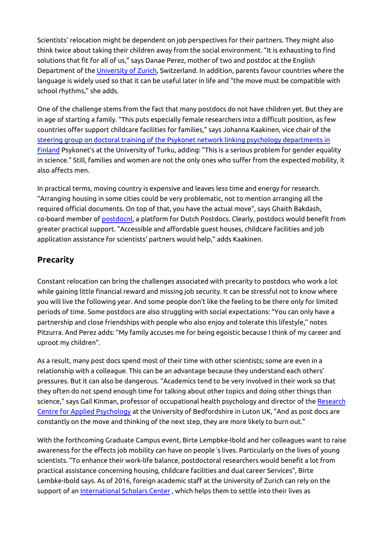Scientists' relocation might be dependent on job perspectives for their partners. They might also think twice about taking their children away from the social environment. "It is exhausting to find solutions that fit for all of us," says Danae Perez, mother of two and postdoc at the English Department of the [University of Zurich](http://www.es.uzh.ch/en/aboutus/team/dperez.html), Switzerland. In addition, parents favour countries where the language is widely used so that it can be useful later in life and "the move must be compatible with school rhythms," she adds.

One of the challenge stems from the fact that many postdocs do not have children yet. But they are in age of starting a family. "This puts especially female researchers into a difficult position, as few countries offer support childcare facilities for families," says Johanna Kaakinen, vice chair of the [steering group on doctoral training of the Psykonet network linking psychology departments in](http://www.utu.fi/en/units/soc/units/psychology/Pages/home.aspx) [Finland](http://www.utu.fi/en/units/soc/units/psychology/Pages/home.aspx) Psykonet's at the University of Turku, adding: "This is a serious problem for gender equality in science." Still, families and women are not the only ones who suffer from the expected mobility, it also affects men.

In practical terms, moving country is expensive and leaves less time and energy for research. "Arranging housing in some cities could be very problematic, not to mention arranging all the required official documents. On top of that, you have the actual move", says Ghaith Bakdash, co-board member of [postdocnl](http://www.postdocnl.com/), a platform for Dutch Postdocs. Clearly, postdocs would benefit from greater practical support. "Accessible and affordable guest houses, childcare facilities and job application assistance for scientists' partners would help," adds Kaakinen.

## **Precarity**

Constant relocation can bring the challenges associated with precarity to postdocs who work a lot while gaining little financial reward and missing job security. It can be stressful not to know where you will live the following year. And some people don't like the feeling to be there only for limited periods of time. Some postdocs are also struggling with social expectations: "You can only have a partnership and close friendships with people who also enjoy and tolerate this lifestyle," notes Pitzurra. And Perez adds: "My family accuses me for being egoistic because I think of my career and uproot my children".

As a result, many post docs spend most of their time with other scientists; some are even in a relationship with a colleague. This can be an advantage because they understand each others' pressures. But it can also be dangerous. "Academics tend to be very involved in their work so that they often do not spend enough time for talking about other topics and doing other things than science," says Gail Kinman, professor of occupational health psychology and director of the [Research](http://www.beds.ac.uk/howtoapply/departments/psychology/rcap) [Centre for Applied Psychology](http://www.beds.ac.uk/howtoapply/departments/psychology/rcap) at the University of Bedfordshire in Luton UK, "And as post docs are constantly on the move and thinking of the next step, they are more likely to burn out."

With the forthcoming Graduate Campus event, Birte Lempbke-Ibold and her colleagues want to raise awareness for the effects job mobility can have on people´s lives. Particularly on the lives of young scientists. "To enhance their work-life balance, postdoctoral researchers would benefit a lot from practical assistance concerning housing, childcare facilities and dual career Services", Birte Lembke-Ibold says. As of 2016, foreign academic staff at the University of Zurich can rely on the support of an [International Scholars Center](http://www.isc.uzh.ch/en.html), which helps them to settle into their lives as